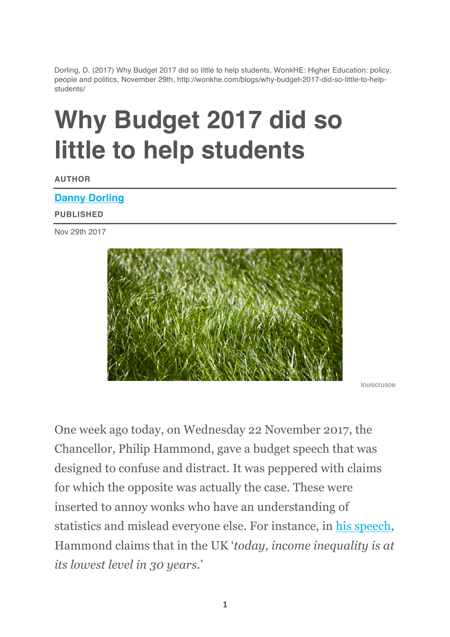Dorling, D. (2017) Why Budget 2017 did so little to help students, WonkHE: Higher Education: policy, people and politics, November 29th, http://wonkhe.com/blogs/why-budget-2017-did-so-little-to-helpstudents/

# **Why Budget 2017 did so little to help students**

**AUTHOR**

#### **Danny Dorling**

#### **PUBLISHED**

Nov 29th 2017



louiscrusoe

One week ago today, on Wednesday 22 November 2017, the Chancellor, Philip Hammond, gave a budget speech that was designed to confuse and distract. It was peppered with claims for which the opposite was actually the case. These were inserted to annoy wonks who have an understanding of statistics and mislead everyone else. For instance, in his speech, Hammond claims that in the UK '*today, income inequality is at its lowest level in 30 years*.'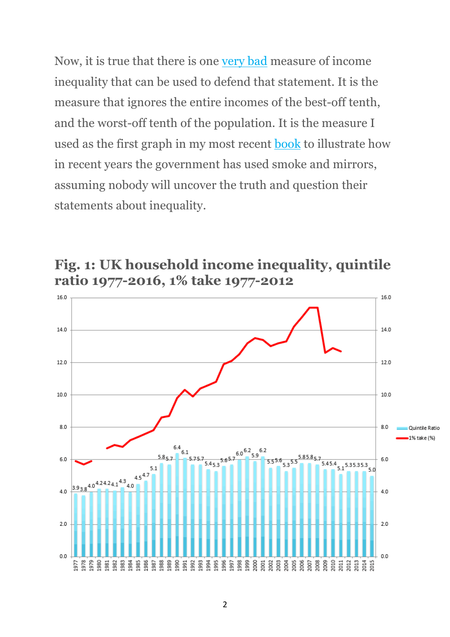Now, it is true that there is one very bad measure of income inequality that can be used to defend that statement. It is the measure that ignores the entire incomes of the best-off tenth, and the worst-off tenth of the population. It is the measure I used as the first graph in my most recent book to illustrate how in recent years the government has used smoke and mirrors, assuming nobody will uncover the truth and question their statements about inequality.



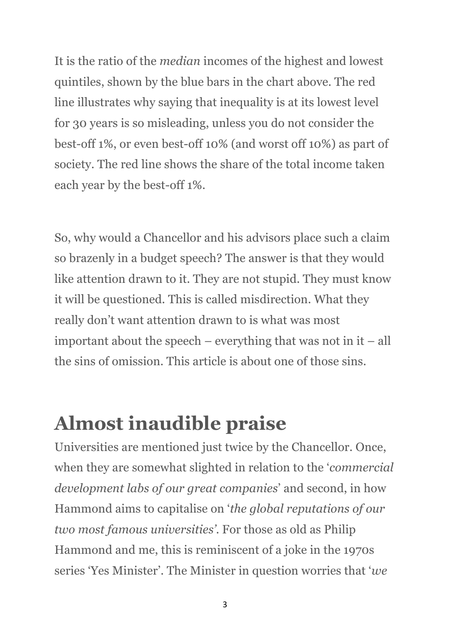It is the ratio of the *median* incomes of the highest and lowest quintiles, shown by the blue bars in the chart above. The red line illustrates why saying that inequality is at its lowest level for 30 years is so misleading, unless you do not consider the best-off 1%, or even best-off 10% (and worst off 10%) as part of society. The red line shows the share of the total income taken each year by the best-off 1%.

So, why would a Chancellor and his advisors place such a claim so brazenly in a budget speech? The answer is that they would like attention drawn to it. They are not stupid. They must know it will be questioned. This is called misdirection. What they really don't want attention drawn to is what was most important about the speech – everything that was not in it – all the sins of omission. This article is about one of those sins.

#### **Almost inaudible praise**

Universities are mentioned just twice by the Chancellor. Once, when they are somewhat slighted in relation to the '*commercial development labs of our great companies*' and second, in how Hammond aims to capitalise on '*the global reputations of our two most famous universities'*. For those as old as Philip Hammond and me, this is reminiscent of a joke in the 1970s series 'Yes Minister'. The Minister in question worries that '*we*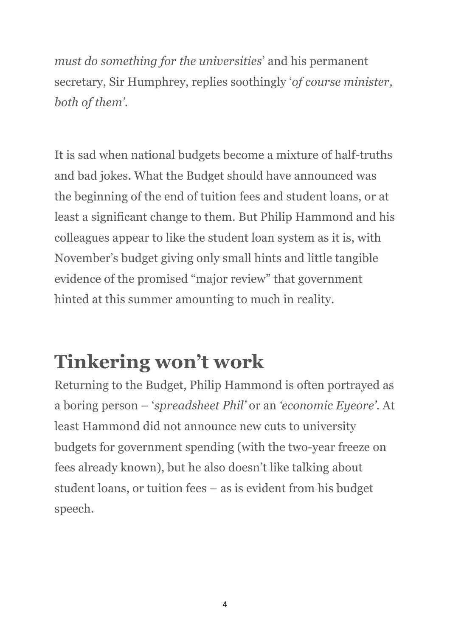*must do something for the universities*' and his permanent secretary, Sir Humphrey, replies soothingly '*of course minister, both of them'*.

It is sad when national budgets become a mixture of half-truths and bad jokes. What the Budget should have announced was the beginning of the end of tuition fees and student loans, or at least a significant change to them. But Philip Hammond and his colleagues appear to like the student loan system as it is, with November's budget giving only small hints and little tangible evidence of the promised "major review" that government hinted at this summer amounting to much in reality.

### **Tinkering won't work**

Returning to the Budget, Philip Hammond is often portrayed as a boring person – '*spreadsheet Phil'* or an *'economic Eyeore'*. At least Hammond did not announce new cuts to university budgets for government spending (with the two-year freeze on fees already known), but he also doesn't like talking about student loans, or tuition fees – as is evident from his budget speech.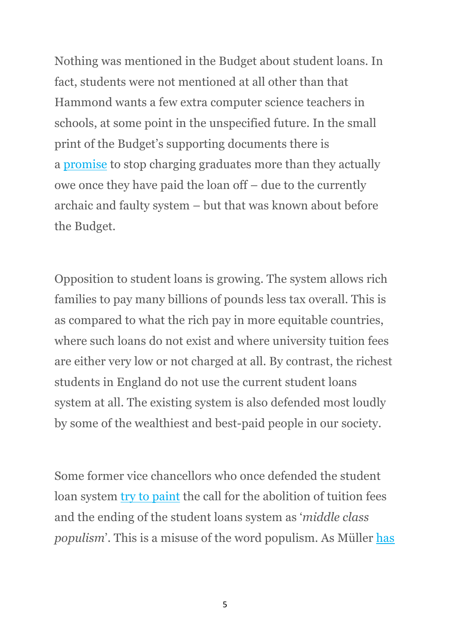Nothing was mentioned in the Budget about student loans. In fact, students were not mentioned at all other than that Hammond wants a few extra computer science teachers in schools, at some point in the unspecified future. In the small print of the Budget's supporting documents there is a promise to stop charging graduates more than they actually owe once they have paid the loan off – due to the currently archaic and faulty system – but that was known about before the Budget.

Opposition to student loans is growing. The system allows rich families to pay many billions of pounds less tax overall. This is as compared to what the rich pay in more equitable countries, where such loans do not exist and where university tuition fees are either very low or not charged at all. By contrast, the richest students in England do not use the current student loans system at all. The existing system is also defended most loudly by some of the wealthiest and best-paid people in our society.

Some former vice chancellors who once defended the student loan system try to paint the call for the abolition of tuition fees and the ending of the student loans system as '*middle class populism*'. This is a misuse of the word populism. As Müller has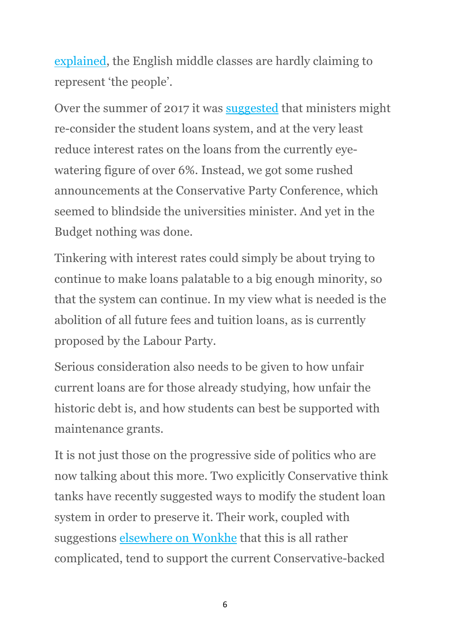explained, the English middle classes are hardly claiming to represent 'the people'.

Over the summer of 2017 it was suggested that ministers might re-consider the student loans system, and at the very least reduce interest rates on the loans from the currently eyewatering figure of over 6%. Instead, we got some rushed announcements at the Conservative Party Conference, which seemed to blindside the universities minister. And yet in the Budget nothing was done.

Tinkering with interest rates could simply be about trying to continue to make loans palatable to a big enough minority, so that the system can continue. In my view what is needed is the abolition of all future fees and tuition loans, as is currently proposed by the Labour Party.

Serious consideration also needs to be given to how unfair current loans are for those already studying, how unfair the historic debt is, and how students can best be supported with maintenance grants.

It is not just those on the progressive side of politics who are now talking about this more. Two explicitly Conservative think tanks have recently suggested ways to modify the student loan system in order to preserve it. Their work, coupled with suggestions elsewhere on Wonkhe that this is all rather complicated, tend to support the current Conservative-backed

6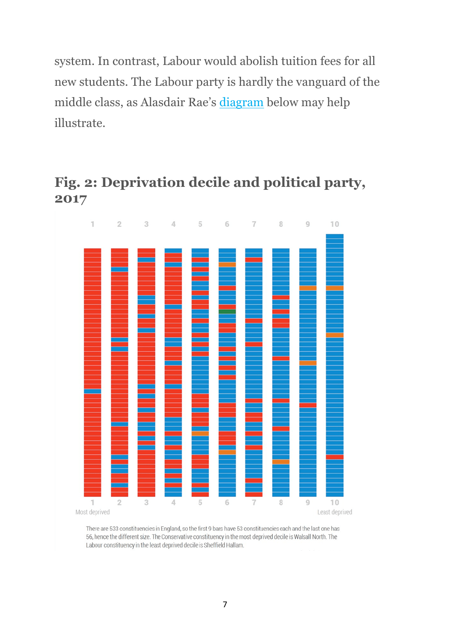system. In contrast, Labour would abolish tuition fees for all new students. The Labour party is hardly the vanguard of the middle class, as Alasdair Rae's diagram below may help illustrate.





There are 533 constituencies in England, so the first 9 bars have 53 constituencies each and the last one has 56, hence the different size. The Conservative constituency in the most deprived decile is Walsall North. The Labour constituency in the least deprived decile is Sheffield Hallam.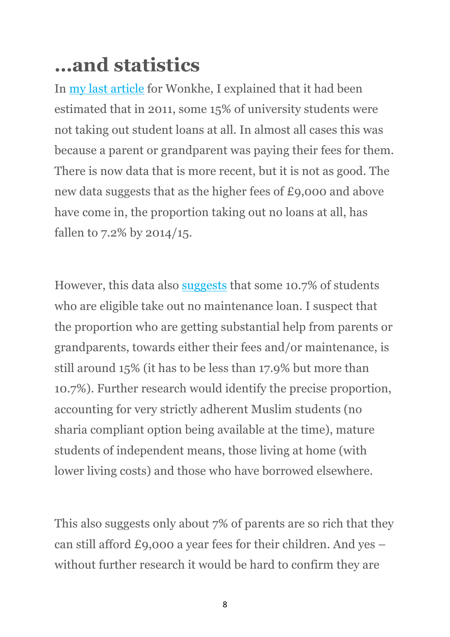## **…and statistics**

In my last article for Wonkhe, I explained that it had been estimated that in 2011, some 15% of university students were not taking out student loans at all. In almost all cases this was because a parent or grandparent was paying their fees for them. There is now data that is more recent, but it is not as good. The new data suggests that as the higher fees of £9,000 and above have come in, the proportion taking out no loans at all, has fallen to 7.2% by 2014/15.

However, this data also suggests that some 10.7% of students who are eligible take out no maintenance loan. I suspect that the proportion who are getting substantial help from parents or grandparents, towards either their fees and/or maintenance, is still around 15% (it has to be less than 17.9% but more than 10.7%). Further research would identify the precise proportion, accounting for very strictly adherent Muslim students (no sharia compliant option being available at the time), mature students of independent means, those living at home (with lower living costs) and those who have borrowed elsewhere.

This also suggests only about 7% of parents are so rich that they can still afford £9,000 a year fees for their children. And yes – without further research it would be hard to confirm they are

8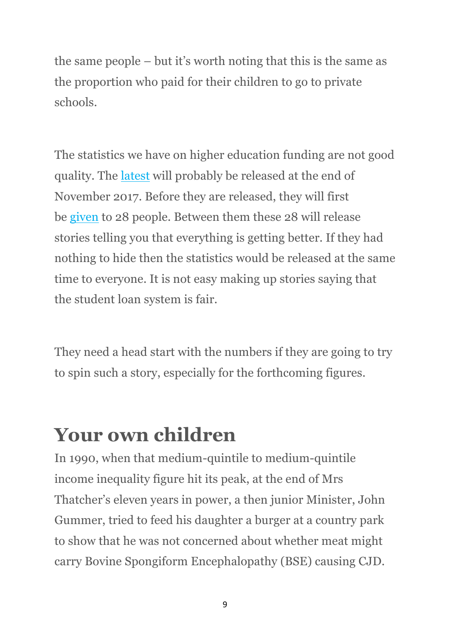the same people – but it's worth noting that this is the same as the proportion who paid for their children to go to private schools.

The statistics we have on higher education funding are not good quality. The latest will probably be released at the end of November 2017. Before they are released, they will first be given to 28 people. Between them these 28 will release stories telling you that everything is getting better. If they had nothing to hide then the statistics would be released at the same time to everyone. It is not easy making up stories saying that the student loan system is fair.

They need a head start with the numbers if they are going to try to spin such a story, especially for the forthcoming figures.

### **Your own children**

In 1990, when that medium-quintile to medium-quintile income inequality figure hit its peak, at the end of Mrs Thatcher's eleven years in power, a then junior Minister, John Gummer, tried to feed his daughter a burger at a country park to show that he was not concerned about whether meat might carry Bovine Spongiform Encephalopathy (BSE) causing CJD.